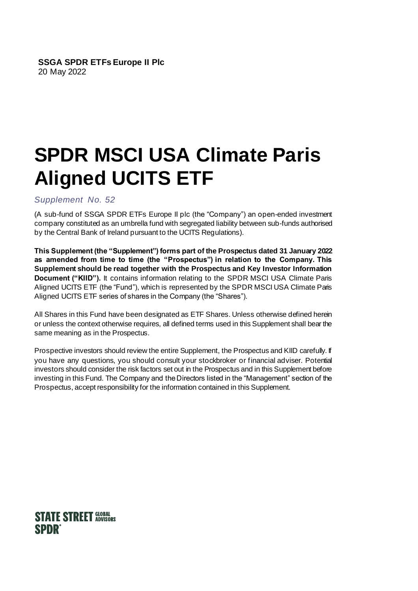# **SPDR MSCI USA Climate Paris Aligned UCITS ETF**

*Supplement No. 52*

(A sub-fund of SSGA SPDR ETFs Europe II plc (the "Company") an open-ended investment company constituted as an umbrella fund with segregated liability between sub-funds authorised by the Central Bank of Ireland pursuant to the UCITS Regulations).

**This Supplement (the "Supplement") forms part of the Prospectus dated 31 January 2022 as amended from time to time (the "Prospectus") in relation to the Company. This Supplement should be read together with the Prospectus and Key Investor Information Document ("KIID").** It contains information relating to the SPDR MSCI USA Climate Paris Aligned UCITS ETF (the "Fund"), which is represented by the SPDR MSCI USA Climate Paris Aligned UCITS ETF series of shares in the Company (the "Shares").

All Shares in this Fund have been designated as ETF Shares. Unless otherwise defined herein or unless the context otherwise requires, all defined terms used in this Supplement shall bear the same meaning as in the Prospectus.

Prospective investors should review the entire Supplement, the Prospectus and KIID carefully. If you have any questions, you should consult your stockbroker or financial adviser. Potential investors should consider the risk factors set out in the Prospectus and in this Supplement before investing in this Fund. The Company and the Directors listed in the "Management" section of the Prospectus, accept responsibility for the information contained in this Supplement.

# **STATE STREET GLOBAL SPDR**®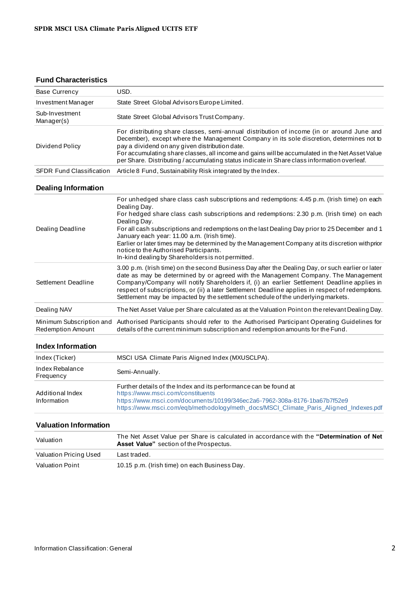#### **Fund Characteristics**

| <b>Base Currency</b>                          | USD.                                                                                                                                                                                                                                                                                                                                                                                                                                                                                                                                                                      |  |  |  |  |
|-----------------------------------------------|---------------------------------------------------------------------------------------------------------------------------------------------------------------------------------------------------------------------------------------------------------------------------------------------------------------------------------------------------------------------------------------------------------------------------------------------------------------------------------------------------------------------------------------------------------------------------|--|--|--|--|
| Investment Manager                            | State Street Global Advisors Europe Limited.                                                                                                                                                                                                                                                                                                                                                                                                                                                                                                                              |  |  |  |  |
| Sub-Investment<br>Manager(s)                  | State Street Global Advisors Trust Company.                                                                                                                                                                                                                                                                                                                                                                                                                                                                                                                               |  |  |  |  |
| Dividend Policy                               | For distributing share classes, semi-annual distribution of income (in or around June and<br>December), except where the Management Company in its sole discretion, determines not to<br>pay a dividend on any given distribution date.<br>For accumulating share classes, all income and gains will be accumulated in the Net Asset Value<br>per Share. Distributing / accumulating status indicate in Share class information overleaf.                                                                                                                                 |  |  |  |  |
| <b>SFDR Fund Classification</b>               | Article 8 Fund, Sustainability Risk integrated by the Index.                                                                                                                                                                                                                                                                                                                                                                                                                                                                                                              |  |  |  |  |
| <b>Dealing Information</b>                    |                                                                                                                                                                                                                                                                                                                                                                                                                                                                                                                                                                           |  |  |  |  |
| Dealing Deadline                              | For unhedged share class cash subscriptions and redemptions: 4.45 p.m. (Irish time) on each<br>Dealing Day.<br>For hedged share class cash subscriptions and redemptions: 2.30 p.m. (Irish time) on each<br>Dealing Day.<br>For all cash subscriptions and redemptions on the last Dealing Day prior to 25 December and 1<br>January each year: 11.00 a.m. (Irish time).<br>Earlier or later times may be determined by the Management Company at its discretion withprior<br>notice to the Authorised Participants.<br>In-kind dealing by Shareholders is not permitted. |  |  |  |  |
| Settlement Deadline                           | 3.00 p.m. (Irish time) on the second Business Day after the Dealing Day, or such earlier or later<br>date as may be determined by or agreed with the Management Company. The Management<br>Company/Company will notify Shareholders if, (i) an earlier Settlement Deadline applies in<br>respect of subscriptions, or (ii) a later Settlement Deadline applies in respect of redemptions.<br>Settlement may be impacted by the settlement schedule of the underlying markets.                                                                                             |  |  |  |  |
| Dealing NAV                                   | The Net Asset Value per Share calculated as at the Valuation Point on the relevant Dealing Day.                                                                                                                                                                                                                                                                                                                                                                                                                                                                           |  |  |  |  |
| Minimum Subscription and<br>Redemption Amount | Authorised Participants should refer to the Authorised Participant Operating Guidelines for<br>details of the current minimum subscription and redemption amounts for the Fund.                                                                                                                                                                                                                                                                                                                                                                                           |  |  |  |  |
| <b>Index Information</b>                      |                                                                                                                                                                                                                                                                                                                                                                                                                                                                                                                                                                           |  |  |  |  |
| Index (Ticker)                                | MSCI USA Climate Paris Aligned Index (MXUSCLPA).                                                                                                                                                                                                                                                                                                                                                                                                                                                                                                                          |  |  |  |  |
| Index Rebalance<br>Frequency                  | Semi-Annually.                                                                                                                                                                                                                                                                                                                                                                                                                                                                                                                                                            |  |  |  |  |
| Additional Index<br>Information               | Further details of the Index and its performance can be found at<br>https://www.msci.com/constituents<br>https://www.msci.com/documents/10199/346ec2a6-7962-308a-8176-1ba67b7f52e9                                                                                                                                                                                                                                                                                                                                                                                        |  |  |  |  |

#### **Valuation Information**

| Valuation              | The Net Asset Value per Share is calculated in accordance with the "Determination of Net<br><b>Asset Value</b> " section of the Prospectus. |
|------------------------|---------------------------------------------------------------------------------------------------------------------------------------------|
| Valuation Pricing Used | Last traded.                                                                                                                                |
| Valuation Point        | 10.15 p.m. (Irish time) on each Business Day.                                                                                               |

<https://www.msci.com/documents/10199/346ec2a6-7962-308a-8176-1ba67b7f52e9>

[https://www.msci.com/eqb/methodology/meth\\_docs/MSCI\\_Climate\\_Paris\\_Aligned\\_Indexes.pdf](https://www.msci.com/eqb/methodology/meth_docs/MSCI_Climate_Paris_Aligned_Indexes.pdf)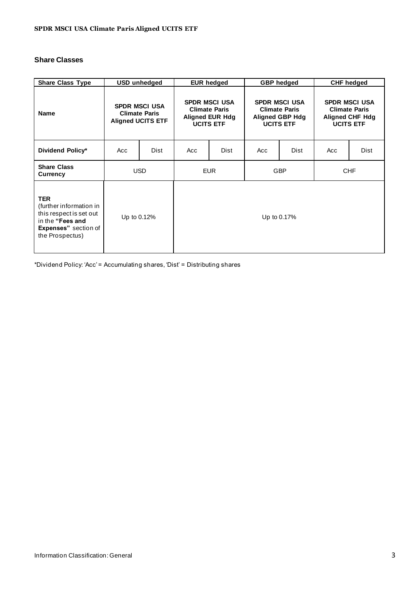## **Share Classes**

| <b>Share Class Type</b>                                                                                                                | USD unhedged                                                             |      | <b>EUR hedged</b>                                                                          |      | <b>GBP</b> hedged                                                                          |             | <b>CHF hedged</b>                                                                          |      |
|----------------------------------------------------------------------------------------------------------------------------------------|--------------------------------------------------------------------------|------|--------------------------------------------------------------------------------------------|------|--------------------------------------------------------------------------------------------|-------------|--------------------------------------------------------------------------------------------|------|
| <b>Name</b>                                                                                                                            | <b>SPDR MSCI USA</b><br><b>Climate Paris</b><br><b>Aligned UCITS ETF</b> |      | <b>SPDR MSCI USA</b><br><b>Climate Paris</b><br><b>Aligned EUR Hdg</b><br><b>UCITS ETF</b> |      | <b>SPDR MSCI USA</b><br><b>Climate Paris</b><br><b>Aligned GBP Hdg</b><br><b>UCITS ETF</b> |             | <b>SPDR MSCI USA</b><br><b>Climate Paris</b><br><b>Aligned CHF Hdg</b><br><b>UCITS ETF</b> |      |
| Dividend Policy*                                                                                                                       | Acc                                                                      | Dist | Acc                                                                                        | Dist | Acc                                                                                        | <b>Dist</b> | Acc                                                                                        | Dist |
| <b>Share Class</b><br>Currency                                                                                                         | <b>USD</b>                                                               |      | <b>EUR</b>                                                                                 |      | <b>GBP</b>                                                                                 |             | <b>CHF</b>                                                                                 |      |
| <b>TER</b><br>(further information in<br>this respect is set out<br>in the "Fees and<br><b>Expenses"</b> section of<br>the Prospectus) | Up to 0.12%                                                              |      | Up to 0.17%                                                                                |      |                                                                                            |             |                                                                                            |      |

\*Dividend Policy: 'Acc' = Accumulating shares, 'Dist' = Distributing shares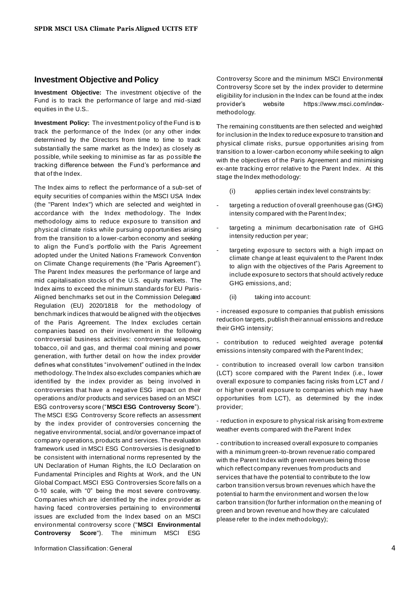#### **Investment Objective and Policy**

**Investment Objective:** The investment objective of the Fund is to track the performance of large and mid-sized equities in the U.S..

**Investment Policy:** The investment policy of the Fund is to track the performance of the Index (or any other index determined by the Directors from time to time to track substantially the same market as the Index) as closely as possible, while seeking to minimise as far as po ssible the tracking difference between the Fund's performance and that of the Index.

The Index aims to reflect the performance of a sub-set of equity securities of companies within the MSCI USA Index (the "Parent Index") which are selected and weighted in accordance with the Index methodology. The Index methodology aims to reduce exposure to transition and physical climate risks while pursuing opportunities arising from the transition to a lower-carbon economy and seeking to align the Fund's portfolio with the Paris Agreement adopted under the United Nations Framework Convention on Climate Change requirements (the "Paris Agreement"). The Parent Index measures the performance of large and mid capitalisation stocks of the U.S. equity markets. The Index aims to exceed the minimum standards for EU Paris-Aligned benchmarks set out in the Commission Delegated Regulation (EU) 2020/1818 for the methodology of benchmark indices that would be aligned with the objectives of the Paris Agreement. The Index excludes certain companies based on their involvement in the following controversial business activities: controversial weapons, tobacco, oil and gas, and thermal coal mining and power generation, with further detail on how the index provider defines what constitutes "involvement" outlined in the Index methodology. The Index also excludes companies which are identified by the index provider as being involved in controversies that have a negative ESG impact on their operations and/or products and services based on an MSCI ESG controversy score ("**MSCI ESG Controversy Score**"). The MSCI ESG Controversy Score reflects an assessment by the index provider of controversies concerning the negative environmental, social, and/or governance impact of company operations, products and services. The evaluation framework used in MSCI ESG Controversies is designed to be consistent with international norms represented by the UN Declaration of Human Rights, the ILO Declaration on Fundamental Principles and Rights at Work, and the UN Global Compact. MSCI ESG Controversies Score falls on a 0-10 scale, with "0" being the most severe controversy. Companies which are identified by the index provider as having faced controversies pertaining to environmental issues are excluded from the Index based on an MSCI environmental controversy score ("**MSCI Environmental Controversy Score**"). The minimum MSCI ESG

Information Classification: General 4

Controversy Score and the minimum MSCI Environmental Controversy Score set by the index provider to determine eligibility for inclusion in the Index can be found at the index provider's website https://www.msci.com/indexmethodology.

The remaining constituents are then selected and weighted for inclusion in the Index to reduce exposure to transition and physical climate risks, pursue opportunities arising from transition to a lower-carbon economy while seeking to align with the objectives of the Paris Agreement and minimising ex-ante tracking error relative to the Parent Index. At this stage the Index methodology:

- (i) applies certain index level constraints by:
- targeting a reduction of overall greenhouse gas (GHG) intensity compared with the Parent Index;
- targeting a minimum decarbonisation rate of GHG intensity reduction per year;
- targeting exposure to sectors with a high impact on climate change at least equivalent to the Parent Index to align with the objectives of the Paris Agreement to include exposure to sectors that should actively reduce GHG emissions, and;
	- (ii) taking into account:

- increased exposure to companies that publish emissions reduction targets, publish their annual emissions and reduce their GHG intensity;

- contribution to reduced weighted average potential emissions intensity compared with the Parent Index;

- contribution to increased overall low carbon transition (LCT) score compared with the Parent Index (i.e., lower overall exposure to companies facing risks from LCT and / or higher overall exposure to companies which may have opportunities from LCT), as determined by the index provider;

- reduction in exposure to physical risk arising from extreme weather events compared with the Parent Index

- contribution to increased overall exposure to companies with a minimum green-to-brown revenue ratio compared with the Parent Index with green revenues being those which reflect company revenues from products and services that have the potential to contribute to the low carbon transition versus brown revenues which have the potential to harm the environment and worsen the low carbon transition (for further information on the meaning of green and brown revenue and how they are calculated please refer to the index methodology);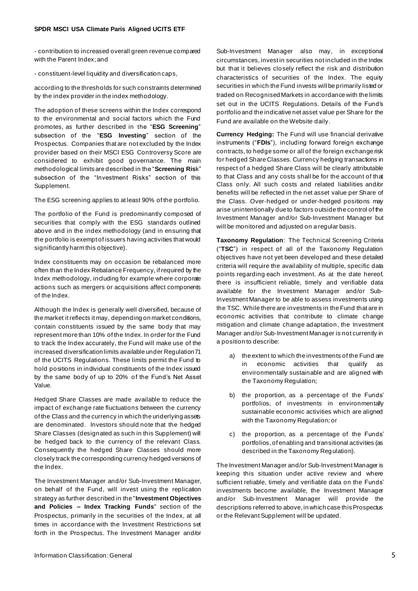- contribution to increased overall green revenue compared with the Parent Index; and

- constituent-level liquidity and diversification caps,

according to the thresholds for such constraints determined by the index provider in the index methodology.

The adoption of these screens within the Index correspond to the environmental and social factors which the Fund promotes, as further described in the "**ESG Screening**" subsection of the "**ESG Investing**" section of the Prospectus. Companies that are not excluded by the Index provider based on their MSCI ESG Controversy Score are considered to exhibit good governance. The main methodological limits are described in the "**Screening Ris**k" subsection of the "Investment Risks" section of this Supplement.

The ESG screening applies to at least 90% of the portfolio.

The portfolio of the Fund is predominantly composed of securities that comply with the ESG standards outlined above and in the index methodology (and in ensuring that the portfolio is exempt of issuers having activities that would significantly harm this objective).

Index constituents may on occasion be rebalanced more often than the Index Rebalance Frequency, if required by the Index methodology, including for example where corporate actions such as mergers or acquisitions affect components of the Index.

Although the Index is generally well diversified, because of the market it reflects it may, depending on market conditions, contain constituents issued by the same body that may represent more than 10% of the Index. In order for the Fund to track the Index accurately, the Fund will make use of the increased diversification limits available under Regulation 71 of the UCITS Regulations. These limits permit the Fund to hold positions in individual constituents of the Index issued by the same body of up to 20% of the Fund's Net Asset Value.

Hedged Share Classes are made available to reduce the impact of exchange rate fluctuations between the currency of the Class and the currency in which the underlying assets are denominated. Investors should note that the hedged Share Classes (designated as such in this Supplement) will be hedged back to the currency of the relevant Class. Consequently the hedged Share Classes should more closely track the corresponding currency hedged versions of the Index.

The Investment Manager and/or Sub-Investment Manager, on behalf of the Fund, will invest using the replication strategy as further described in the "**Investment Objectives and Policies – Index Tracking Funds**" section of the Prospectus, primarily in the securities of the Index, at all times in accordance with the Investment Restrictions set forth in the Prospectus. The Investment Manager and/or Sub-Investment Manager also may, in exceptional circumstances, invest in securities not included in the Index but that it believes closely reflect the risk and distribution characteristics of securities of the Index. The equity securities in which the Fund invests will be primarily listed or traded on Recognised Markets in accordance with the limits set out in the UCITS Regulations. Details of the Fund's portfolio and the indicative net asset value per Share for the Fund are available on the Website daily.

**Currency Hedging:** The Fund will use financial derivative instruments ("**FDIs**"), including forward foreign exchange contracts, to hedge some or all of the foreign exchange risk for hedged Share Classes. Currency hedging transactions in respect of a hedged Share Class will be clearly attributable to that Class and any costs shall be for the account of that Class only. All such costs and related liabilities and/or benefits will be reflected in the net asset value per Share of the Class. Over-hedged or under-hedged positions may arise unintentionally due to factors outside the control of the Investment Manager and/or Sub-Investment Manager but will be monitored and adjusted on a regular basis.

**Taxonomy Regulation**: The Technical Screening Criteria ("**TSC**") in respect of all of the Taxonomy Regulation objectives have not yet been developed and these detailed criteria will require the availability of multiple, specific data points regarding each investment. As at the date hereof, there is insufficient reliable, timely and verifiable data available for the Investment Manager and/or Sub-Investment Manager to be able to assess investments using the TSC. While there are investments in the Fund that are in economic activities that contribute to climate change mitigation and climate change adaptation, the Investment Manager and/or Sub-Investment Manager is not currently in a position to describe:

- a) the extent to which the investments of the Fund are in economic activities that qualify as environmentally sustainable and are aligned with the Taxonomy Regulation;
- b) the proportion, as a percentage of the Funds' portfolios, of investments in environmentally sustainable economic activities which are aligned with the Taxonomy Regulation; or
- c) the proportion, as a percentage of the Funds' portfolios, of enabling and transitional activities (as described in the Taxonomy Regulation).

The Investment Manager and/or Sub-Investment Manager is keeping this situation under active review and where sufficient reliable, timely and verifiable data on the Funds' investments become available, the Investment Manager and/or Sub-Investment Manager will provide the descriptions referred to above, in which case this Prospectus or the Relevant Supplement will be updated.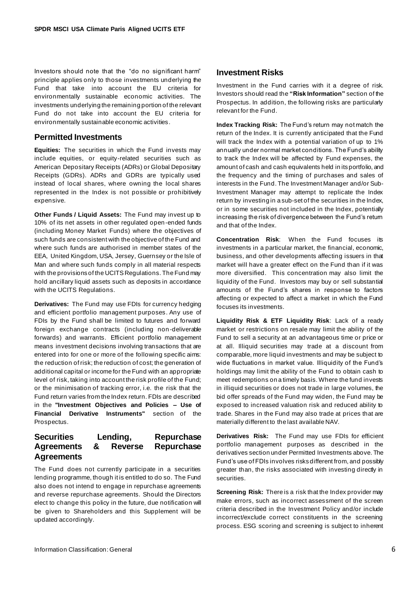Investors should note that the "do no significant harm" principle applies only to those investments underlying the Fund that take into account the EU criteria for environmentally sustainable economic activities. The investments underlying the remaining portion of the relevant Fund do not take into account the EU criteria for environmentally sustainable economic activities.

#### **Permitted Investments**

**Equities:** The securities in which the Fund invests may include equities, or equity-related securities such as American Depositary Receipts (ADRs) or Global Depositary Receipts (GDRs). ADRs and GDRs are typically used instead of local shares, where owning the local shares represented in the Index is not possible or prohibitively expensive.

**Other Funds / Liquid Assets:** The Fund may invest up to 10% of its net assets in other regulated open-ended funds (including Money Market Funds) where the objectives of such funds are consistent with the objective of the Fund and where such funds are authorised in member states of the EEA, United Kingdom, USA, Jersey, Guernsey or the Isle of Man and where such funds comply in all material respects with the provisions of the UCITS Regulations. The Fund may hold ancillary liquid assets such as deposits in accordance with the UCITS Regulations.

**Derivatives:** The Fund may use FDIs for currency hedging and efficient portfolio management purposes. Any use of FDIs by the Fund shall be limited to futures and forward foreign exchange contracts (including non -deliverable forwards) and warrants. Efficient portfolio management means investment decisions involving transactions that are entered into for one or more of the following specific aims: the reduction of risk; the reduction of cost; the generation of additional capital or income for the Fund with an appropriate level of risk, taking into account the risk profile of the Fund; or the minimisation of tracking error, i.e. the risk that the Fund return varies from the Index return. FDIs are described in the **"Investment Objectives and Policies – Use of Financial Derivative Instruments"** section of the Prospectus.

#### **Securities Lending, Repurchase Agreements & Reverse Repurchase Agreements**

The Fund does not currently participate in a securities lending programme, though it is entitled to do so. The Fund also does not intend to engage in repurchase agreements and reverse repurchase agreements. Should the Directors elect to change this policy in the future, due notification will be given to Shareholders and this Supplement will be updated accordingly.

#### **Investment Risks**

Investment in the Fund carries with it a degree of risk. Investors should read the **"Risk Information"** section of the Prospectus. In addition, the following risks are particularly relevant for the Fund.

**Index Tracking Risk:** The Fund's return may not match the return of the Index. It is currently anticipated that the Fund will track the Index with a potential variation of up to 1% annually under normal market conditions. The Fund's ability to track the Index will be affected by Fund expenses, the amount of cash and cash equivalents held in its portfolio, and the frequency and the timing of purchases and sales of interests in the Fund. The Investment Manager and/or Sub-Investment Manager may attempt to replicate the Index return by investing in a sub-set of the securities in the Index, or in some securities not included in the Index, potentially increasing the risk of divergence between the Fund's return and that of the Index.

**Concentration Risk**: When the Fund focuses its investments in a particular market, the financial, economic, business, and other developments affecting issuers in that market will have a greater effect on the Fund than if it was more diversified. This concentration may also limit the liquidity of the Fund. Investors may buy or sell substantial amounts of the Fund's shares in response to factors affecting or expected to affect a market in which the Fund focuses its investments.

**Liquidity Risk & ETF Liquidity Risk**: Lack of a ready market or restrictions on resale may limit the ability of the Fund to sell a security at an advantageous time or price or at all. Illiquid securities may trade at a discount from comparable, more liquid investments and may be subject to wide fluctuations in market value. Illiquidity of the Fund's holdings may limit the ability of the Fund to obtain cash to meet redemptions on a timely basis. Where the fund invests in illiquid securities or does not trade in large volumes, the bid offer spreads of the Fund may widen, the Fund may be exposed to increased valuation risk and reduced ability to trade. Shares in the Fund may also trade at prices that are materially different to the last available NAV.

**Derivatives Risk:** The Fund may use FDIs for efficient portfolio management purposes as described in the derivatives section under Permitted Investments above. The Fund's use of FDIs involves risks different from, and possibly greater than, the risks associated with investing directly in securities.

**Screening Risk:** There is a risk that the Index provider may make errors, such as incorrect assessment of the screen criteria described in the Investment Policy and/or include incorrect/exclude correct constituents in the screening process. ESG scoring and screening is subject to inherent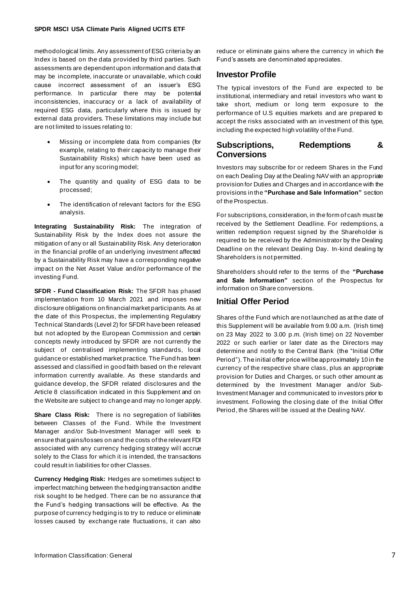methodological limits. Any assessment of ESG criteria by an Index is based on the data provided by third parties. Such assessments are dependent upon information and data that may be incomplete, inaccurate or unavailable, which could cause incorrect assessment of an issuer's ESG performance. In particular there may be potential inconsistencies, inaccuracy or a lack of availability of required ESG data, particularly where this is issued by external data providers. These limitations may include but are not limited to issues relating to:

- Missing or incomplete data from companies (for example, relating to their capacity to manage their Sustainability Risks) which have been used as input for any scoring model;
- The quantity and quality of ESG data to be processed;
- The identification of relevant factors for the ESG analysis.

**Integrating Sustainability Risk:** The integration of Sustainability Risk by the Index does not assure the mitigation of any or all Sustainability Risk. Any deterioration in the financial profile of an underlying investment affected by a Sustainability Risk may have a corresponding negative impact on the Net Asset Value and/or performance of the investing Fund.

**SFDR - Fund Classification Risk:** The SFDR has phased implementation from 10 March 2021 and imposes new disclosure obligations on financial market participants. As at the date of this Prospectus, the implementing Regulatory Technical Standards (Level 2) for SFDR have been released but not adopted by the European Commission and certain concepts newly introduced by SFDR are not currently the subject of centralised implementing standards, local guidance or established market practice. The Fund has been assessed and classified in good faith based on th e relevant information currently available. As these standards and guidance develop, the SFDR related disclosures and the Article 8 classification indicated in this Supplement and on the Website are subject to change and may no longer apply.

Share Class Risk: There is no segregation of liabilities between Classes of the Fund. While the Investment Manager and/or Sub-Investment Manager will seek to ensure that gains/losses on and the costs of the relevant FDI associated with any currency hedging strategy will accrue solely to the Class for which it is intended, the transactions could result in liabilities for other Classes.

**Currency Hedging Risk:** Hedges are sometimes subject to imperfect matching between the hedging transaction and the risk sought to be hedged. There can be no assurance that the Fund's hedging transactions will be effective. As the purpose of currency hedging is to try to reduce or eliminate losses caused by exchange rate fluctuations, it can also

reduce or eliminate gains where the currency in which the Fund's assets are denominated appreciates.

### **Investor Profile**

The typical investors of the Fund are expected to be institutional, intermediary and retail investors who want to take short, medium or long term exposure to the performance of U.S equities markets and are prepared to accept the risks associated with an investment of this type, including the expected high volatility of the Fund.

# **Subscriptions, Redemptions & Conversions**

Investors may subscribe for or redeem Shares in the Fund on each Dealing Day at the Dealing NAV with an appropriate provision for Duties and Charges and in accordance with the provisions in the **"Purchase and Sale Information"** section of the Prospectus.

For subscriptions, consideration, in the form of cash must be received by the Settlement Deadline. For redemptions, a written redemption request signed by the Shareholder is required to be received by the Administrator by the Dealing Deadline on the relevant Dealing Day. In-kind dealing by Shareholders is not permitted.

Shareholders should refer to the terms of the **"Purchase and Sale Information"** section of the Prospectus for information on Share conversions.

# **Initial Offer Period**

Shares of the Fund which are not launched as at the date of this Supplement will be available from 9.00 a.m. (Irish time) on 23 May 2022 to 3.00 p.m. (Irish time) on 22 November 2022 or such earlier or later date as the Directors may determine and notify to the Central Bank (the "Initial Offer Period"). The initial offer price will be approximately 10 in the currency of the respective share class, plus an appropriate provision for Duties and Charges, or such other amount as determined by the Investment Manager and/or Sub-Investment Manager and communicated to investors prior to investment. Following the closing date of the Initial Offer Period, the Shares will be issued at the Dealing NAV.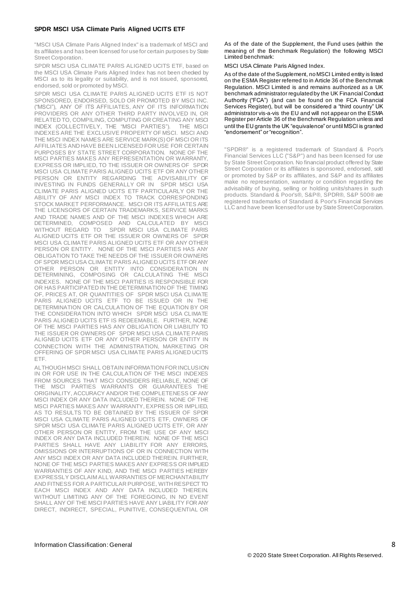#### **SPDR MSCI USA Climate Paris Aligned UCITS ETF**

"MSCI USA Climate Paris Aligned Index" is a trademark of MSCI and its affiliates and has been licensed for use for certain purposes by State Street Corporation.

SPDR MSCI USA CLIMATE PARIS ALIGNED UCITS ETF, based on the MSCI USA Climate Paris Aligned Index has not been checked by MSCI as to its legality or suitability, and is not issued, sponsored, endorsed, sold or promoted by MSCI.

SPDR MSCI USA CLIMATE PARIS ALIGNED UCITS ETF IS NOT SPONSORED, ENDORSED, SOLD OR PROMOTED BY MSCI INC. ("MSCI"), ANY OF ITS AFFILIATES, ANY OF ITS INFORMATION PROVIDERS OR ANY OTHER THIRD PARTY INVOLVED IN, OR RELATED TO, COMPILING, COMPUTING OR CREATING ANY MSCI INDEX (COLLECTIVELY, THE "MSCI PARTIES"). THE MSCI INDEXES ARE THE EXCLUSIVE PROPERTY OF MSCI. MSCI AND THE MSCI INDEX NAMES ARE SERVICE MARK(S) OF MSCI OR ITS AFFILIATES AND HAVE BEEN LICENSED FOR USE FOR CERTAIN PURPOSES BY STATE STREET CORPORATION. NONE OF THE MSCI PARTIES MAKES ANY REPRESENTATION OR WARRANTY, EXPRESS OR IMPLIED, TO THE ISSUER OR OWNERS OF SPDR MSCI USA CLIMATE PARIS ALIGNED UCITS ETF OR ANY OTHER PERSON OR ENTITY REGARDING THE ADVISABILITY OF INVESTING IN FUNDS GENERALLY OR IN SPDR MSCI USA CLIMATE PARIS ALIGNED UCITS ETF PARTICULARLY OR THE ABILITY OF ANY MSCI INDEX TO TRACK CORRESPONDING STOCK MARKET PERFORMANCE. MSCI OR ITS AFFILIATES ARE THE LICENSORS OF CERTAIN TRADEMARKS, SERVICE MARKS AND TRADE NAMES AND OF THE MSCI INDEXES WHICH ARE DETERMINED, COMPOSED AND CALCULATED BY MSCI WITHOUT REGARD TO SPDR MSCI USA CLIMATE PARIS ALIGNED UCITS ETF OR THE ISSUER OR OWNERS OF SPDR MSCI USA CLIMATE PARIS ALIGNED UCITS ETF OR ANY OTHER PERSON OR ENTITY. NONE OF THE MSCI PARTIES HAS ANY OBLIGATION TO TAKE THE NEEDS OF THE ISSUER OR OWNERS OF SPDR MSCI USA CLIMATE PARIS ALIGNED UCITS ETF OR ANY OTHER PERSON OR ENTITY INTO CONSIDERATION IN DETERMINING, COMPOSING OR CALCULATING THE MSCI INDEXES. NONE OF THE MSCI PARTIES IS RESPONSIBLE FOR OR HAS PARTICIPATED IN THE DETERMINATION OF THE TIMING OF, PRICES AT, OR QUANTITIES OF SPDR MSCI USA CLIMATE PARIS ALIGNED UCITS ETF TO BE ISSUED OR IN THE DETERMINATION OR CALCULATION OF THE EQUATION BY OR THE CONSIDERATION INTO WHICH SPDR MSCI USA CLIMATE PARIS ALIGNED UCITS ETF IS REDEEMABLE. FURTHER, NONE OF THE MSCI PARTIES HAS ANY OBLIGATION OR LIABILITY TO THE ISSUER OR OWNERS OF SPDR MSCI USA CLIMATE PARIS ALIGNED UCITS ETF OR ANY OTHER PERSON OR ENTITY IN CONNECTION WITH THE ADMINISTRATION, MARKETING OR OFFERING OF SPDR MSCI USA CLIMATE PARIS ALIGNED UCITS ETF.

ALTHOUGH MSCI SHALL OBTAIN INFORMATION FOR INCLUSION IN OR FOR USE IN THE CALCULATION OF THE MSCI INDEXES FROM SOURCES THAT MSCI CONSIDERS RELIABLE, NONE OF THE MSCI PARTIES WARRANTS OR GUARANTEES THE ORIGINALITY, ACCURACY AND/OR THE COMPLETENESS OF ANY MSCI INDEX OR ANY DATA INCLUDED THEREIN. NONE OF THE MSCI PARTIES MAKES ANY WARRANTY, EXPRESS OR IMPLIED, AS TO RESULTS TO BE OBTAINED BY THE ISSUER OF SPDR MSCI USA CLIMATE PARIS ALIGNED UCITS ETF, OWNERS OF SPDR MSCI USA CLIMATE PARIS ALIGNED UCITS ETF, OR ANY OTHER PERSON OR ENTITY, FROM THE USE OF ANY MSCI INDEX OR ANY DATA INCLUDED THEREIN. NONE OF THE MSCI PARTIES SHALL HAVE ANY LIABILITY FOR ANY ERRORS, OMISSIONS OR INTERRUPTIONS OF OR IN CONNECTION WITH ANY MSCI INDEX OR ANY DATA INCLUDED THEREIN. FURTHER, NONE OF THE MSCI PARTIES MAKES ANY EXPRESS OR IMPLIED WARRANTIES OF ANY KIND, AND THE MSCI PARTIES HEREBY EXPRESSLY DISCLAIM ALL WARRANTIES OF MERCHANTABILITY AND FITNESS FOR A PARTICULAR PURPOSE, WITH RESPECT TO EACH MSCI INDEX AND ANY DATA INCLUDED THEREIN. WITHOUT LIMITING ANY OF THE FOREGOING, IN NO EVENT SHALL ANY OF THE MSCI PARTIES HAVE ANY LIABILITY FOR ANY DIRECT, INDIRECT, SPECIAL, PUNITIVE, CONSEQUENTIAL OR As of the date of the Supplement, the Fund uses (within the meaning of the Benchmark Regulation) the following MSCI Limited benchmark:

MSCI USA Climate Paris Aligned Index.

As of the date of the Supplement, no MSCI Limited entity is listed on the ESMA Register referred to in Article 36 of the Benchmark Regulation. MSCI Limited is and remains authorized as a UK benchmark administrator regulated by the UK Financial Conduct Authority ("FCA") (and can be found on the FCA Financial Services Register), but will be considered a "third country" UK administrator vis-a-vis the EU and will not appear on the ESMA Register per Article 36 of the Benchmark Regulation unless and until the EU grants the UK "equivalence" or until MSCI is granted "endorsement" or "recognition".

"SPDR®" is a registered trademark of Standard & Poor's Financial Services LLC ("S&P") and has been licensed for use by State Street Corporation. No financial product offered by State Street Corporation or its affiliates is sponsored, endorsed, sold or promoted by S&P or its affiliates, and S&P and its affiliates make no representation, warranty or condition regarding the advisability of buying, selling or holding units/shares in such products. Standard & Poor's®, S&P®, SPDR®, S&P 500® are registered trademarks of Standard & Poor's Financial Services LLC and have been licensed for use by State Street Corporation.